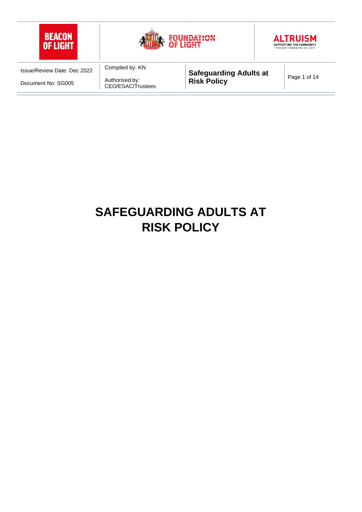

# **SAFEGUARDING ADULTS AT RISK POLICY**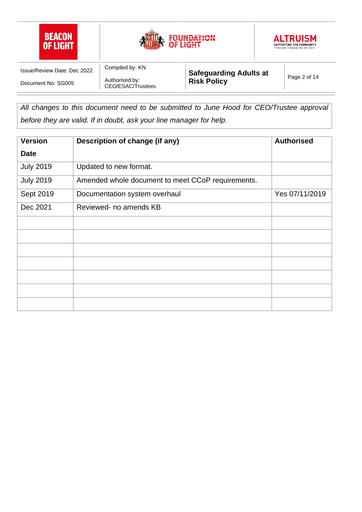





Authorised by: CEO/ESAC/Trustees

Compiled by: KN

**Safeguarding Adults at Risk Policy Page 2 of 14** 

All changes to this document need to be submitted to June Hood for CEO/Trustee approval *before they are valid. If in doubt, ask your line manager for help.*

| <b>Version</b>   | Description of change (if any)                    | <b>Authorised</b> |
|------------------|---------------------------------------------------|-------------------|
| <b>Date</b>      |                                                   |                   |
| <b>July 2019</b> | Updated to new format.                            |                   |
| <b>July 2019</b> | Amended whole document to meet CCoP requirements. |                   |
| Sept 2019        | Documentation system overhaul                     | Yes 07/11/2019    |
| Dec 2021         | Reviewed- no amends KB                            |                   |
|                  |                                                   |                   |
|                  |                                                   |                   |
|                  |                                                   |                   |
|                  |                                                   |                   |
|                  |                                                   |                   |
|                  |                                                   |                   |
|                  |                                                   |                   |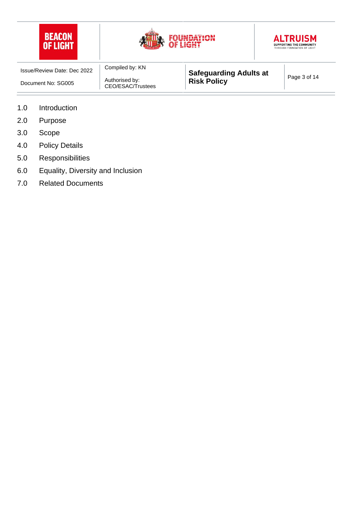





| Issue/Review Date: Dec 2022 | Compiled by: KN                     | <b>Safeguarding Adults at</b> | Page 3 of 14 |
|-----------------------------|-------------------------------------|-------------------------------|--------------|
| Document No: SG005          | Authorised by:<br>CEO/ESAC/Trustees | <b>Risk Policy</b>            |              |

- 1.0 Introduction
- 2.0 Purpose
- 3.0 Scope
- 4.0 Policy Details
- 5.0 Responsibilities
- 6.0 Equality, Diversity and Inclusion
- 7.0 Related Documents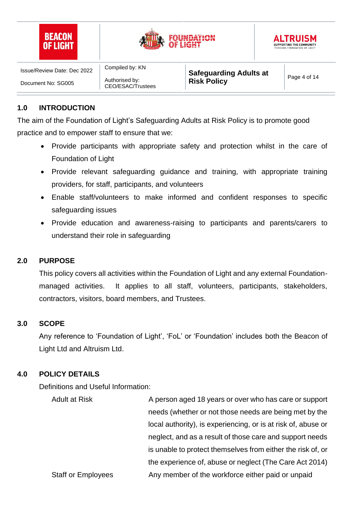





Authorised by: CEO/ESAC/Trustees

Compiled by: KN

**Safeguarding Adults at Risk Policy Page 4 of 14** 

# **1.0 INTRODUCTION**

The aim of the Foundation of Light's Safeguarding Adults at Risk Policy is to promote good practice and to empower staff to ensure that we:

- Provide participants with appropriate safety and protection whilst in the care of Foundation of Light
- Provide relevant safeguarding guidance and training, with appropriate training providers, for staff, participants, and volunteers
- Enable staff/volunteers to make informed and confident responses to specific safeguarding issues
- Provide education and awareness-raising to participants and parents/carers to understand their role in safeguarding

#### **2.0 PURPOSE**

This policy covers all activities within the Foundation of Light and any external Foundationmanaged activities. It applies to all staff, volunteers, participants, stakeholders, contractors, visitors, board members, and Trustees.

#### **3.0 SCOPE**

Any reference to 'Foundation of Light', 'FoL' or 'Foundation' includes both the Beacon of Light Ltd and Altruism Ltd.

# **4.0 POLICY DETAILS**

Definitions and Useful Information:

| <b>Adult at Risk</b>      | A person aged 18 years or over who has care or support        |  |
|---------------------------|---------------------------------------------------------------|--|
|                           | needs (whether or not those needs are being met by the        |  |
|                           | local authority), is experiencing, or is at risk of, abuse or |  |
|                           | neglect, and as a result of those care and support needs      |  |
|                           | is unable to protect themselves from either the risk of, or   |  |
|                           | the experience of, abuse or neglect (The Care Act 2014)       |  |
| <b>Staff or Employees</b> | Any member of the workforce either paid or unpaid             |  |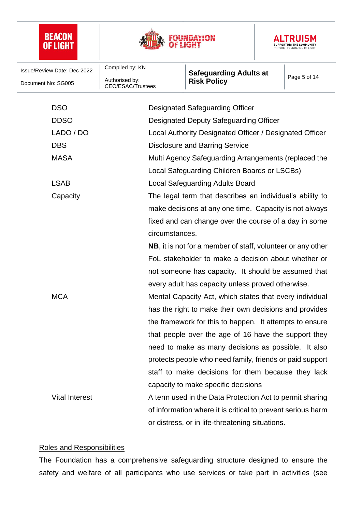





| Issue/Review Date: Dec 2022                                          | Compiled by: KN                                                     | <b>Safeguarding Adults at</b>                            | Page 5 of 14 |  |
|----------------------------------------------------------------------|---------------------------------------------------------------------|----------------------------------------------------------|--------------|--|
| Document No: SG005                                                   | Authorised by:<br><b>CEO/ESAC/Trustees</b>                          | <b>Risk Policy</b>                                       |              |  |
| <b>DSO</b>                                                           |                                                                     | <b>Designated Safeguarding Officer</b>                   |              |  |
| <b>DDSO</b>                                                          | Designated Deputy Safeguarding Officer                              |                                                          |              |  |
| LADO / DO                                                            | Local Authority Designated Officer / Designated Officer             |                                                          |              |  |
| <b>DBS</b>                                                           | <b>Disclosure and Barring Service</b>                               |                                                          |              |  |
| <b>MASA</b>                                                          |                                                                     | Multi Agency Safeguarding Arrangements (replaced the     |              |  |
|                                                                      |                                                                     | Local Safeguarding Children Boards or LSCBs)             |              |  |
| <b>LSAB</b>                                                          |                                                                     | <b>Local Safeguarding Adults Board</b>                   |              |  |
| Capacity<br>The legal term that describes an individual's ability to |                                                                     |                                                          |              |  |
|                                                                      | make decisions at any one time. Capacity is not always              |                                                          |              |  |
|                                                                      |                                                                     |                                                          |              |  |
|                                                                      | fixed and can change over the course of a day in some               |                                                          |              |  |
|                                                                      | circumstances.                                                      |                                                          |              |  |
|                                                                      | <b>NB</b> , it is not for a member of staff, volunteer or any other |                                                          |              |  |
|                                                                      | FoL stakeholder to make a decision about whether or                 |                                                          |              |  |
|                                                                      |                                                                     | not someone has capacity. It should be assumed that      |              |  |
|                                                                      |                                                                     | every adult has capacity unless proved otherwise.        |              |  |
| <b>MCA</b>                                                           |                                                                     | Mental Capacity Act, which states that every individual  |              |  |
|                                                                      |                                                                     | has the right to make their own decisions and provides   |              |  |
|                                                                      |                                                                     | the framework for this to happen. It attempts to ensure  |              |  |
|                                                                      |                                                                     | that people over the age of 16 have the support they     |              |  |
|                                                                      |                                                                     | need to make as many decisions as possible. It also      |              |  |
|                                                                      |                                                                     | protects people who need family, friends or paid support |              |  |
|                                                                      |                                                                     | staff to make decisions for them because they lack       |              |  |
|                                                                      |                                                                     | capacity to make specific decisions                      |              |  |
| <b>Vital Interest</b>                                                |                                                                     | A term used in the Data Protection Act to permit sharing |              |  |
|                                                                      | of information where it is critical to prevent serious harm         |                                                          |              |  |
|                                                                      |                                                                     | or distress, or in life-threatening situations.          |              |  |

#### Roles and Responsibilities

The Foundation has a comprehensive safeguarding structure designed to ensure the safety and welfare of all participants who use services or take part in activities (see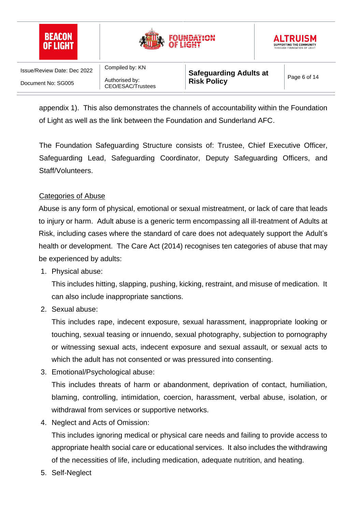





Authorised by: CEO/ESAC/Trustees

Compiled by: KN

appendix 1). This also demonstrates the channels of accountability within the Foundation of Light as well as the link between the Foundation and Sunderland AFC.

The Foundation Safeguarding Structure consists of: Trustee, Chief Executive Officer, Safeguarding Lead, Safeguarding Coordinator, Deputy Safeguarding Officers, and Staff/Volunteers.

## Categories of Abuse

Abuse is any form of physical, emotional or sexual mistreatment, or lack of care that leads to injury or harm. Adult abuse is a generic term encompassing all ill-treatment of Adults at Risk, including cases where the standard of care does not adequately support the Adult's health or development. The Care Act (2014) recognises ten categories of abuse that may be experienced by adults:

1. Physical abuse:

This includes hitting, slapping, pushing, kicking, restraint, and misuse of medication. It can also include inappropriate sanctions.

2. Sexual abuse:

This includes rape, indecent exposure, sexual harassment, inappropriate looking or touching, sexual teasing or innuendo, sexual photography, subjection to pornography or witnessing sexual acts, indecent exposure and sexual assault, or sexual acts to which the adult has not consented or was pressured into consenting.

3. Emotional/Psychological abuse:

This includes threats of harm or abandonment, deprivation of contact, humiliation, blaming, controlling, intimidation, coercion, harassment, verbal abuse, isolation, or withdrawal from services or supportive networks.

4. Neglect and Acts of Omission:

This includes ignoring medical or physical care needs and failing to provide access to appropriate health social care or educational services. It also includes the withdrawing of the necessities of life, including medication, adequate nutrition, and heating.

5. Self-Neglect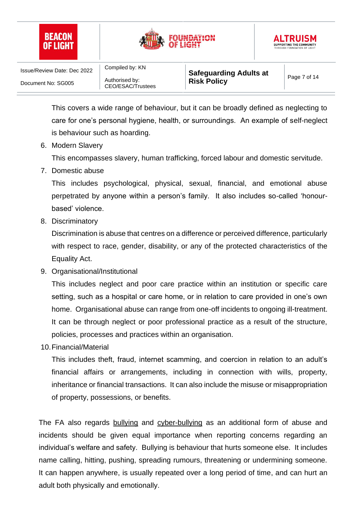





Compiled by: KN

This covers a wide range of behaviour, but it can be broadly defined as neglecting to care for one's personal hygiene, health, or surroundings. An example of self-neglect is behaviour such as hoarding.

6. Modern Slavery

This encompasses slavery, human trafficking, forced labour and domestic servitude.

7. Domestic abuse

This includes psychological, physical, sexual, financial, and emotional abuse perpetrated by anyone within a person's family. It also includes so-called 'honourbased' violence.

8. Discriminatory

Discrimination is abuse that centres on a difference or perceived difference, particularly with respect to race, gender, disability, or any of the protected characteristics of the Equality Act.

9. Organisational/Institutional

This includes neglect and poor care practice within an institution or specific care setting, such as a hospital or care home, or in relation to care provided in one's own home. Organisational abuse can range from one-off incidents to ongoing ill-treatment. It can be through neglect or poor professional practice as a result of the structure, policies, processes and practices within an organisation.

10.Financial/Material

This includes theft, fraud, internet scamming, and coercion in relation to an adult's financial affairs or arrangements, including in connection with wills, property, inheritance or financial transactions. It can also include the misuse or misappropriation of property, possessions, or benefits.

The FA also regards bullying and cyber-bullying as an additional form of abuse and incidents should be given equal importance when reporting concerns regarding an individual's welfare and safety. Bullying is behaviour that hurts someone else. It includes name calling, hitting, pushing, spreading rumours, threatening or undermining someone. It can happen anywhere, is usually repeated over a long period of time, and can hurt an adult both physically and emotionally.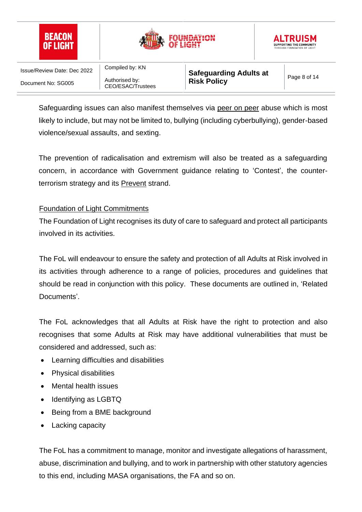





Authorised by: CEO/ESAC/Trustees

Compiled by: KN

**Safeguarding Adults at Risk Policy Page 8 of 14** 

Safeguarding issues can also manifest themselves via peer on peer abuse which is most likely to include, but may not be limited to, bullying (including cyberbullying), gender-based violence/sexual assaults, and sexting.

The prevention of radicalisation and extremism will also be treated as a safeguarding concern, in accordance with Government guidance relating to 'Contest', the counterterrorism strategy and its Prevent strand.

# Foundation of Light Commitments

The Foundation of Light recognises its duty of care to safeguard and protect all participants involved in its activities.

The FoL will endeavour to ensure the safety and protection of all Adults at Risk involved in its activities through adherence to a range of policies, procedures and guidelines that should be read in conjunction with this policy. These documents are outlined in, 'Related Documents'.

The FoL acknowledges that all Adults at Risk have the right to protection and also recognises that some Adults at Risk may have additional vulnerabilities that must be considered and addressed, such as:

- Learning difficulties and disabilities
- Physical disabilities
- Mental health issues
- Identifying as LGBTQ
- Being from a BME background
- Lacking capacity

The FoL has a commitment to manage, monitor and investigate allegations of harassment, abuse, discrimination and bullying, and to work in partnership with other statutory agencies to this end, including MASA organisations, the FA and so on.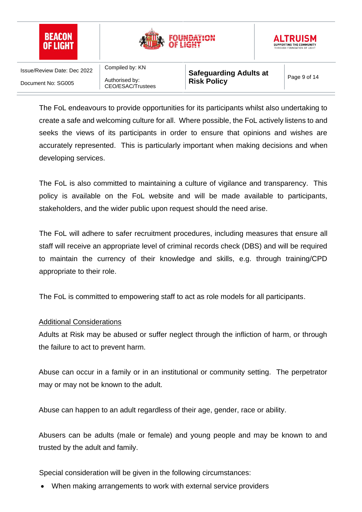

The FoL endeavours to provide opportunities for its participants whilst also undertaking to create a safe and welcoming culture for all. Where possible, the FoL actively listens to and seeks the views of its participants in order to ensure that opinions and wishes are accurately represented. This is particularly important when making decisions and when developing services.

The FoL is also committed to maintaining a culture of vigilance and transparency. This policy is available on the FoL website and will be made available to participants, stakeholders, and the wider public upon request should the need arise.

The FoL will adhere to safer recruitment procedures, including measures that ensure all staff will receive an appropriate level of criminal records check (DBS) and will be required to maintain the currency of their knowledge and skills, e.g. through training/CPD appropriate to their role.

The FoL is committed to empowering staff to act as role models for all participants.

# Additional Considerations

Adults at Risk may be abused or suffer neglect through the infliction of harm, or through the failure to act to prevent harm.

Abuse can occur in a family or in an institutional or community setting. The perpetrator may or may not be known to the adult.

Abuse can happen to an adult regardless of their age, gender, race or ability.

Abusers can be adults (male or female) and young people and may be known to and trusted by the adult and family.

Special consideration will be given in the following circumstances:

• When making arrangements to work with external service providers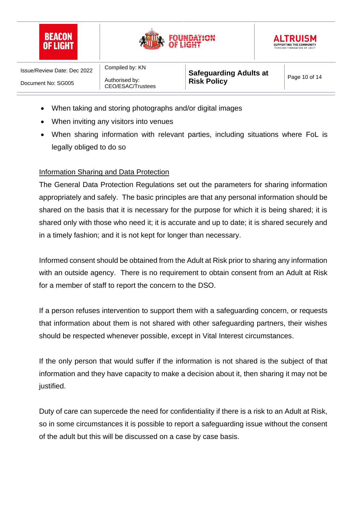





Authorised by: CEO/ESAC/Trustees

Compiled by: KN

- When taking and storing photographs and/or digital images
- When inviting any visitors into venues
- When sharing information with relevant parties, including situations where FoL is legally obliged to do so

#### Information Sharing and Data Protection

The General Data Protection Regulations set out the parameters for sharing information appropriately and safely. The basic principles are that any personal information should be shared on the basis that it is necessary for the purpose for which it is being shared; it is shared only with those who need it; it is accurate and up to date; it is shared securely and in a timely fashion; and it is not kept for longer than necessary.

Informed consent should be obtained from the Adult at Risk prior to sharing any information with an outside agency. There is no requirement to obtain consent from an Adult at Risk for a member of staff to report the concern to the DSO.

If a person refuses intervention to support them with a safeguarding concern, or requests that information about them is not shared with other safeguarding partners, their wishes should be respected whenever possible, except in Vital Interest circumstances.

If the only person that would suffer if the information is not shared is the subject of that information and they have capacity to make a decision about it, then sharing it may not be justified.

Duty of care can supercede the need for confidentiality if there is a risk to an Adult at Risk, so in some circumstances it is possible to report a safeguarding issue without the consent of the adult but this will be discussed on a case by case basis.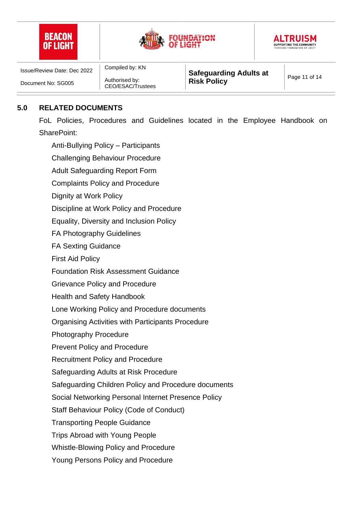





Authorised by: CEO/ESAC/Trustees

Compiled by: KN

**Safeguarding Adults at Risk Policy Page 11 of 14** 

## **5.0 RELATED DOCUMENTS**

FoL Policies, Procedures and Guidelines located in the Employee Handbook on SharePoint:

Anti-Bullying Policy – Participants Challenging Behaviour Procedure Adult Safeguarding Report Form Complaints Policy and Procedure Dignity at Work Policy Discipline at Work Policy and Procedure Equality, Diversity and Inclusion Policy FA Photography Guidelines FA Sexting Guidance First Aid Policy Foundation Risk Assessment Guidance Grievance Policy and Procedure Health and Safety Handbook Lone Working Policy and Procedure documents Organising Activities with Participants Procedure Photography Procedure Prevent Policy and Procedure Recruitment Policy and Procedure Safeguarding Adults at Risk Procedure Safeguarding Children Policy and Procedure documents Social Networking Personal Internet Presence Policy Staff Behaviour Policy (Code of Conduct) Transporting People Guidance Trips Abroad with Young People Whistle-Blowing Policy and Procedure Young Persons Policy and Procedure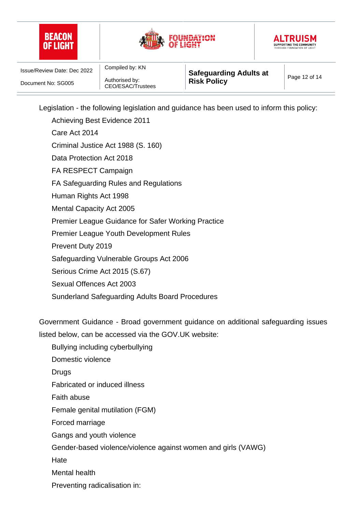





Authorised by: CEO/ESAC/Trustees

Compiled by: KN

Legislation - the following legislation and guidance has been used to inform this policy:

Achieving Best Evidence 2011 Care Act 2014 Criminal Justice Act 1988 (S. 160) Data Protection Act 2018 FA RESPECT Campaign FA Safeguarding Rules and Regulations Human Rights Act 1998 Mental Capacity Act 2005 Premier League Guidance for Safer Working Practice Premier League Youth Development Rules Prevent Duty 2019 Safeguarding Vulnerable Groups Act 2006 Serious Crime Act 2015 (S.67) Sexual Offences Act 2003 Sunderland Safeguarding Adults Board Procedures

Government Guidance - Broad government guidance on additional safeguarding issues listed below, can be accessed via the GOV.UK website:

Bullying including cyberbullying

Domestic violence

Drugs

Fabricated or induced illness

Faith abuse

Female genital mutilation (FGM)

Forced marriage

Gangs and youth violence

Gender-based violence/violence against women and girls (VAWG)

**Hate** 

Mental health

Preventing radicalisation in: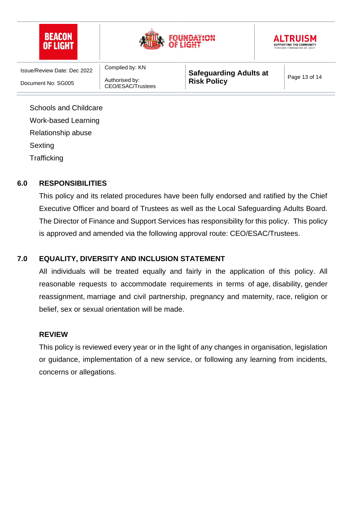| <b>BEACON</b><br><b>OF LIGHT</b>   |                                     |                               | <b>ALTRUISM</b><br><b>SUPPORTING THE COMMUNITY</b><br>THROUGH FOUNDATION OF LIGHT |               |
|------------------------------------|-------------------------------------|-------------------------------|-----------------------------------------------------------------------------------|---------------|
| <b>Issue/Review Date: Dec 2022</b> | Compiled by: KN                     | <b>Safeguarding Adults at</b> |                                                                                   |               |
| Document No: SG005                 | Authorised by:<br>CEO/ESAC/Trustees | <b>Risk Policy</b>            |                                                                                   | Page 13 of 14 |
| <b>Schools and Childcare</b>       |                                     |                               |                                                                                   |               |
| Work-based Learning                |                                     |                               |                                                                                   |               |
| Relationship abuse                 |                                     |                               |                                                                                   |               |
| Sexting                            |                                     |                               |                                                                                   |               |

**Trafficking** 

## **6.0 RESPONSIBILITIES**

This policy and its related procedures have been fully endorsed and ratified by the Chief Executive Officer and board of Trustees as well as the Local Safeguarding Adults Board. The Director of Finance and Support Services has responsibility for this policy. This policy is approved and amended via the following approval route: CEO/ESAC/Trustees.

# **7.0 EQUALITY, DIVERSITY AND INCLUSION STATEMENT**

All individuals will be treated equally and fairly in the application of this policy. All reasonable requests to accommodate requirements in terms of age, disability, [gender](https://www.equalityhumanrights.com/en/equality-act/protected-characteristics#reassignment)  [reassignment,](https://www.equalityhumanrights.com/en/equality-act/protected-characteristics#reassignment) [marriage and civil partnership,](https://www.equalityhumanrights.com/en/equality-act/protected-characteristics#marriage) pregnancy and maternity, [race,](https://www.equalityhumanrights.com/en/equality-act/protected-characteristics#race) [religion or](https://www.equalityhumanrights.com/en/equality-act/protected-characteristics#rob)  [belief,](https://www.equalityhumanrights.com/en/equality-act/protected-characteristics#rob) [sex](https://www.equalityhumanrights.com/en/equality-act/protected-characteristics#sex) or [sexual orientation](https://www.equalityhumanrights.com/en/equality-act/protected-characteristics#lgb) will be made.

#### **REVIEW**

This policy is reviewed every year or in the light of any changes in organisation, legislation or guidance, implementation of a new service, or following any learning from incidents, concerns or allegations.